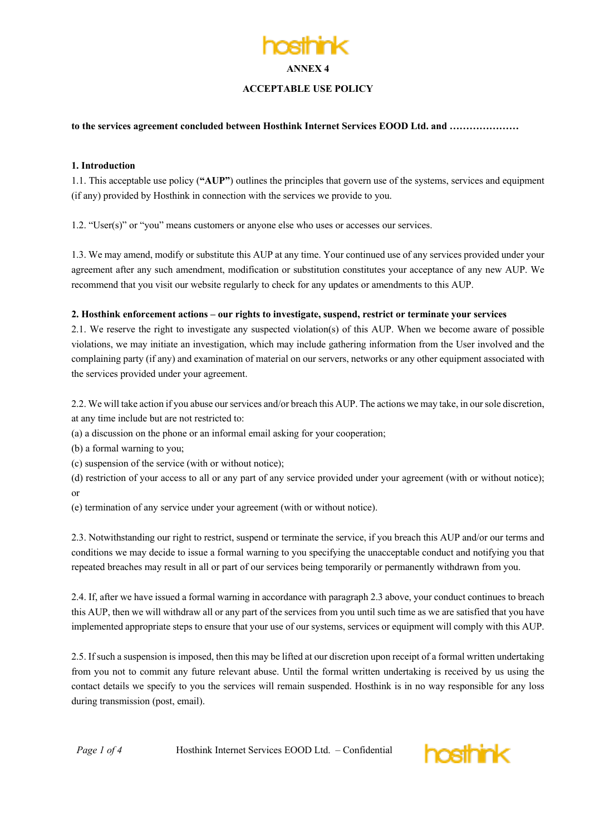# **ANNEX 4 ACCEPTABLE USE POLICY**

**to the services agreement concluded between Hosthink Internet Services EOOD Ltd. and …………………**

#### **1. Introduction**

1.1. This acceptable use policy (**"AUP"**) outlines the principles that govern use of the systems, services and equipment (if any) provided by Hosthink in connection with the services we provide to you.

1.2. "User(s)" or "you" means customers or anyone else who uses or accesses our services.

1.3. We may amend, modify or substitute this AUP at any time. Your continued use of any services provided under your agreement after any such amendment, modification or substitution constitutes your acceptance of any new AUP. We recommend that you visit our website regularly to check for any updates or amendments to this AUP.

#### **2. Hosthink enforcement actions – our rights to investigate, suspend, restrict or terminate your services**

2.1. We reserve the right to investigate any suspected violation(s) of this AUP. When we become aware of possible violations, we may initiate an investigation, which may include gathering information from the User involved and the complaining party (if any) and examination of material on our servers, networks or any other equipment associated with the services provided under your agreement.

2.2. We will take action if you abuse our services and/or breach this AUP. The actions we may take, in our sole discretion, at any time include but are not restricted to:

- (a) a discussion on the phone or an informal email asking for your cooperation;
- (b) a formal warning to you;
- (c) suspension of the service (with or without notice);
- (d) restriction of your access to all or any part of any service provided under your agreement (with or without notice); or
- (e) termination of any service under your agreement (with or without notice).

2.3. Notwithstanding our right to restrict, suspend or terminate the service, if you breach this AUP and/or our terms and conditions we may decide to issue a formal warning to you specifying the unacceptable conduct and notifying you that repeated breaches may result in all or part of our services being temporarily or permanently withdrawn from you.

2.4. If, after we have issued a formal warning in accordance with paragraph 2.3 above, your conduct continues to breach this AUP, then we will withdraw all or any part of the services from you until such time as we are satisfied that you have implemented appropriate steps to ensure that your use of our systems, services or equipment will comply with this AUP.

2.5. If such a suspension is imposed, then this may be lifted at our discretion upon receipt of a formal written undertaking from you not to commit any future relevant abuse. Until the formal written undertaking is received by us using the contact details we specify to you the services will remain suspended. Hosthink is in no way responsible for any loss during transmission (post, email).

*Page 1 of 4* Hosthink Internet Services EOOD Ltd. – Confidential

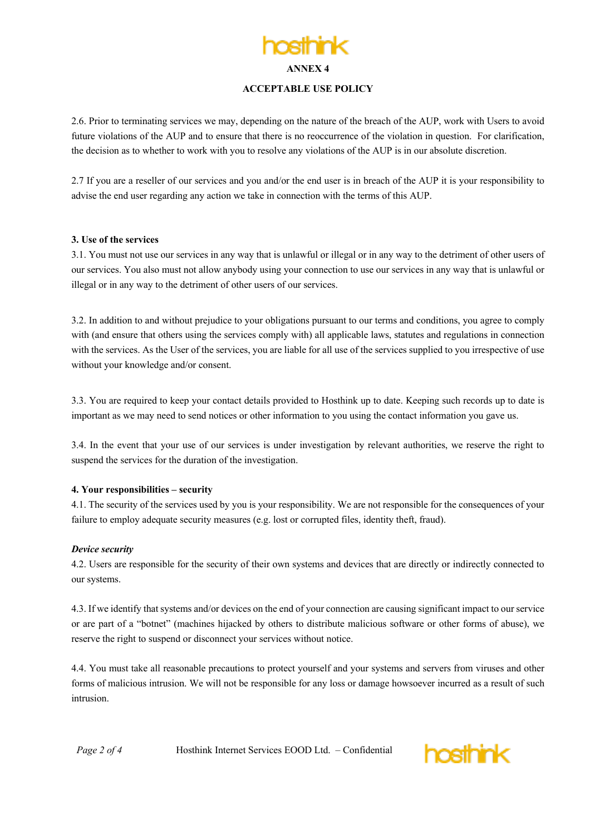**ANNEX 4**

#### **ACCEPTABLE USE POLICY**

2.6. Prior to terminating services we may, depending on the nature of the breach of the AUP, work with Users to avoid future violations of the AUP and to ensure that there is no reoccurrence of the violation in question. For clarification, the decision as to whether to work with you to resolve any violations of the AUP is in our absolute discretion.

2.7 If you are a reseller of our services and you and/or the end user is in breach of the AUP it is your responsibility to advise the end user regarding any action we take in connection with the terms of this AUP.

## **3. Use of the services**

3.1. You must not use our services in any way that is unlawful or illegal or in any way to the detriment of other users of our services. You also must not allow anybody using your connection to use our services in any way that is unlawful or illegal or in any way to the detriment of other users of our services.

3.2. In addition to and without prejudice to your obligations pursuant to our terms and conditions, you agree to comply with (and ensure that others using the services comply with) all applicable laws, statutes and regulations in connection with the services. As the User of the services, you are liable for all use of the services supplied to you irrespective of use without your knowledge and/or consent.

3.3. You are required to keep your contact details provided to Hosthink up to date. Keeping such records up to date is important as we may need to send notices or other information to you using the contact information you gave us.

3.4. In the event that your use of our services is under investigation by relevant authorities, we reserve the right to suspend the services for the duration of the investigation.

#### **4. Your responsibilities – security**

4.1. The security of the services used by you is your responsibility. We are not responsible for the consequences of your failure to employ adequate security measures (e.g. lost or corrupted files, identity theft, fraud).

#### *Device security*

4.2. Users are responsible for the security of their own systems and devices that are directly or indirectly connected to our systems.

4.3. If we identify that systems and/or devices on the end of your connection are causing significant impact to our service or are part of a "botnet" (machines hijacked by others to distribute malicious software or other forms of abuse), we reserve the right to suspend or disconnect your services without notice.

4.4. You must take all reasonable precautions to protect yourself and your systems and servers from viruses and other forms of malicious intrusion. We will not be responsible for any loss or damage howsoever incurred as a result of such intrusion.

*Page 2 of 4* Hosthink Internet Services EOOD Ltd. – Confidential

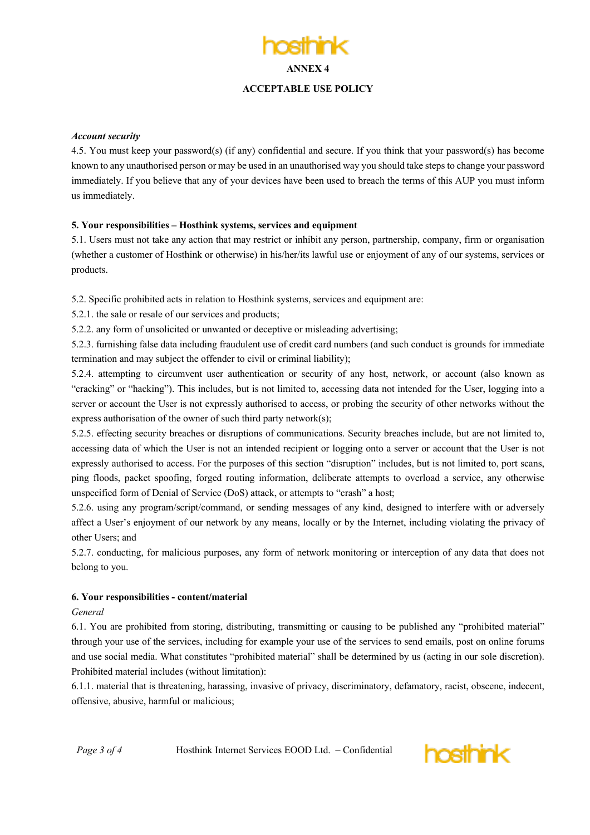## **ANNEX 4 ACCEPTABLE USE POLICY**

#### *Account security*

4.5. You must keep your password(s) (if any) confidential and secure. If you think that your password(s) has become known to any unauthorised person or may be used in an unauthorised way you should take steps to change your password immediately. If you believe that any of your devices have been used to breach the terms of this AUP you must inform us immediately.

#### **5. Your responsibilities – Hosthink systems, services and equipment**

5.1. Users must not take any action that may restrict or inhibit any person, partnership, company, firm or organisation (whether a customer of Hosthink or otherwise) in his/her/its lawful use or enjoyment of any of our systems, services or products.

5.2. Specific prohibited acts in relation to Hosthink systems, services and equipment are:

5.2.1. the sale or resale of our services and products;

5.2.2. any form of unsolicited or unwanted or deceptive or misleading advertising;

5.2.3. furnishing false data including fraudulent use of credit card numbers (and such conduct is grounds for immediate termination and may subject the offender to civil or criminal liability);

5.2.4. attempting to circumvent user authentication or security of any host, network, or account (also known as "cracking" or "hacking"). This includes, but is not limited to, accessing data not intended for the User, logging into a server or account the User is not expressly authorised to access, or probing the security of other networks without the express authorisation of the owner of such third party network(s);

5.2.5. effecting security breaches or disruptions of communications. Security breaches include, but are not limited to, accessing data of which the User is not an intended recipient or logging onto a server or account that the User is not expressly authorised to access. For the purposes of this section "disruption" includes, but is not limited to, port scans, ping floods, packet spoofing, forged routing information, deliberate attempts to overload a service, any otherwise unspecified form of Denial of Service (DoS) attack, or attempts to "crash" a host;

5.2.6. using any program/script/command, or sending messages of any kind, designed to interfere with or adversely affect a User's enjoyment of our network by any means, locally or by the Internet, including violating the privacy of other Users; and

5.2.7. conducting, for malicious purposes, any form of network monitoring or interception of any data that does not belong to you.

## **6. Your responsibilities - content/material**

#### *General*

6.1. You are prohibited from storing, distributing, transmitting or causing to be published any "prohibited material" through your use of the services, including for example your use of the services to send emails, post on online forums and use social media. What constitutes "prohibited material" shall be determined by us (acting in our sole discretion). Prohibited material includes (without limitation):

6.1.1. material that is threatening, harassing, invasive of privacy, discriminatory, defamatory, racist, obscene, indecent, offensive, abusive, harmful or malicious;

*Page 3 of 4* Hosthink Internet Services EOOD Ltd. – Confidential